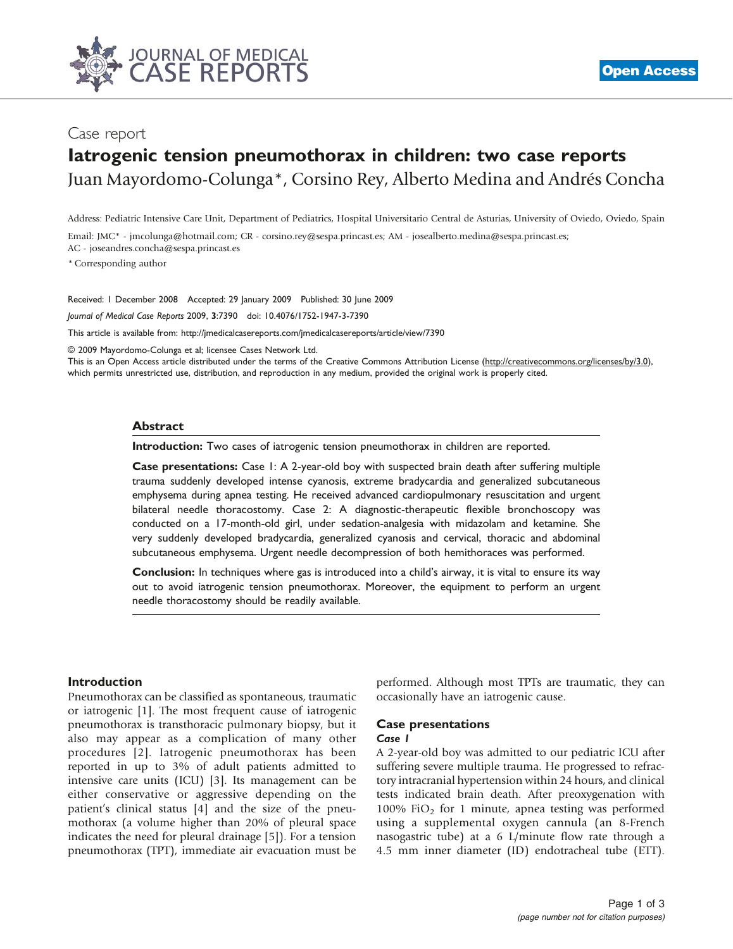

# Case report

# Iatrogenic tension pneumothorax in children: two case reports Juan Mayordomo-Colunga\*, Corsino Rey, Alberto Medina and Andrés Concha

Address: Pediatric Intensive Care Unit, Department of Pediatrics, Hospital Universitario Central de Asturias, University of Oviedo, Oviedo, Spain

Email: JMC\* - jmcolunga@hotmail.com; CR - corsino.rey@sespa.princast.es; AM - josealberto.medina@sespa.princast.es; AC - joseandres.concha@sespa.princast.es

\* Corresponding author

Received: 1 December 2008 Accepted: 29 January 2009 Published: 30 June 2009 Journal of Medical Case Reports 2009, 3:7390 doi: 10.4076/1752-1947-3-7390

This article is available from:<http://jmedicalcasereports.com/jmedicalcasereports/article/view/7390>

© 2009 Mayordomo-Colunga et al; licensee Cases Network Ltd.

This is an Open Access article distributed under the terms of the Creative Commons Attribution License [\(http://creativecommons.org/licenses/by/3.0\)](http://creativecommons.org/licenses/by/3.0), which permits unrestricted use, distribution, and reproduction in any medium, provided the original work is properly cited.

#### Abstract

Introduction: Two cases of iatrogenic tension pneumothorax in children are reported.

Case presentations: Case 1: A 2-year-old boy with suspected brain death after suffering multiple trauma suddenly developed intense cyanosis, extreme bradycardia and generalized subcutaneous emphysema during apnea testing. He received advanced cardiopulmonary resuscitation and urgent bilateral needle thoracostomy. Case 2: A diagnostic-therapeutic flexible bronchoscopy was conducted on a 17-month-old girl, under sedation-analgesia with midazolam and ketamine. She very suddenly developed bradycardia, generalized cyanosis and cervical, thoracic and abdominal subcutaneous emphysema. Urgent needle decompression of both hemithoraces was performed.

Conclusion: In techniques where gas is introduced into a child's airway, it is vital to ensure its way out to avoid iatrogenic tension pneumothorax. Moreover, the equipment to perform an urgent needle thoracostomy should be readily available.

# **Introduction**

Pneumothorax can be classified as spontaneous, traumatic or iatrogenic [\[1\]](#page-2-0). The most frequent cause of iatrogenic pneumothorax is transthoracic pulmonary biopsy, but it also may appear as a complication of many other procedures [[2\]](#page-2-0). Iatrogenic pneumothorax has been reported in up to 3% of adult patients admitted to intensive care units (ICU) [[3](#page-2-0)]. Its management can be either conservative or aggressive depending on the patient's clinical status [\[4\]](#page-2-0) and the size of the pneumothorax (a volume higher than 20% of pleural space indicates the need for pleural drainage [[5\]](#page-2-0)). For a tension pneumothorax (TPT), immediate air evacuation must be

performed. Although most TPTs are traumatic, they can occasionally have an iatrogenic cause.

#### Case presentations Case 1

A 2-year-old boy was admitted to our pediatric ICU after suffering severe multiple trauma. He progressed to refractory intracranial hypertension within 24 hours, and clinical tests indicated brain death. After preoxygenation with 100% FiO<sub>2</sub> for 1 minute, apnea testing was performed using a supplemental oxygen cannula (an 8-French nasogastric tube) at a 6 L/minute flow rate through a 4.5 mm inner diameter (ID) endotracheal tube (ETT).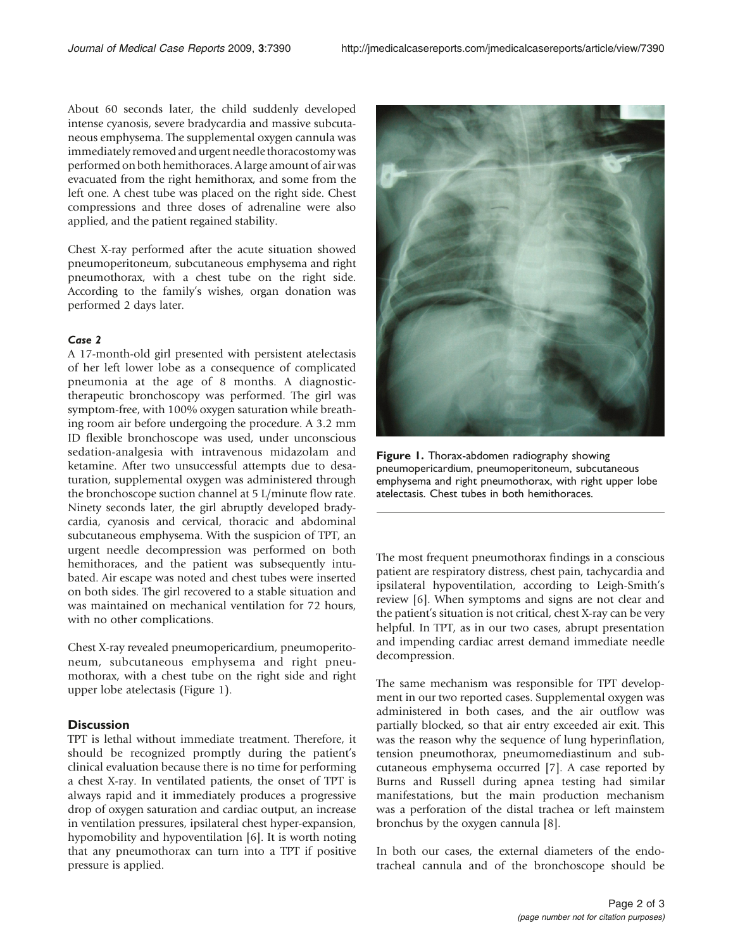About 60 seconds later, the child suddenly developed intense cyanosis, severe bradycardia and massive subcutaneous emphysema. The supplemental oxygen cannula was immediately removed and urgent needle thoracostomy was performed on both hemithoraces. A large amount of air was evacuated from the right hemithorax, and some from the left one. A chest tube was placed on the right side. Chest compressions and three doses of adrenaline were also applied, and the patient regained stability.

Chest X-ray performed after the acute situation showed pneumoperitoneum, subcutaneous emphysema and right pneumothorax, with a chest tube on the right side. According to the family's wishes, organ donation was performed 2 days later.

# Case 2

A 17-month-old girl presented with persistent atelectasis of her left lower lobe as a consequence of complicated pneumonia at the age of 8 months. A diagnostictherapeutic bronchoscopy was performed. The girl was symptom-free, with 100% oxygen saturation while breathing room air before undergoing the procedure. A 3.2 mm ID flexible bronchoscope was used, under unconscious sedation-analgesia with intravenous midazolam and ketamine. After two unsuccessful attempts due to desaturation, supplemental oxygen was administered through the bronchoscope suction channel at 5 L/minute flow rate. Ninety seconds later, the girl abruptly developed bradycardia, cyanosis and cervical, thoracic and abdominal subcutaneous emphysema. With the suspicion of TPT, an urgent needle decompression was performed on both hemithoraces, and the patient was subsequently intubated. Air escape was noted and chest tubes were inserted on both sides. The girl recovered to a stable situation and was maintained on mechanical ventilation for 72 hours, with no other complications.

Chest X-ray revealed pneumopericardium, pneumoperitoneum, subcutaneous emphysema and right pneumothorax, with a chest tube on the right side and right upper lobe atelectasis (Figure 1).

# **Discussion**

TPT is lethal without immediate treatment. Therefore, it should be recognized promptly during the patient's clinical evaluation because there is no time for performing a chest X-ray. In ventilated patients, the onset of TPT is always rapid and it immediately produces a progressive drop of oxygen saturation and cardiac output, an increase in ventilation pressures, ipsilateral chest hyper-expansion, hypomobility and hypoventilation [\[6\]](#page-2-0). It is worth noting that any pneumothorax can turn into a TPT if positive pressure is applied.



Figure 1. Thorax-abdomen radiography showing pneumopericardium, pneumoperitoneum, subcutaneous emphysema and right pneumothorax, with right upper lobe atelectasis. Chest tubes in both hemithoraces.

The most frequent pneumothorax findings in a conscious patient are respiratory distress, chest pain, tachycardia and ipsilateral hypoventilation, according to Leigh-Smith's review [[6\]](#page-2-0). When symptoms and signs are not clear and the patient's situation is not critical, chest X-ray can be very helpful. In TPT, as in our two cases, abrupt presentation and impending cardiac arrest demand immediate needle decompression.

The same mechanism was responsible for TPT development in our two reported cases. Supplemental oxygen was administered in both cases, and the air outflow was partially blocked, so that air entry exceeded air exit. This was the reason why the sequence of lung hyperinflation, tension pneumothorax, pneumomediastinum and subcutaneous emphysema occurred [\[7](#page-2-0)]. A case reported by Burns and Russell during apnea testing had similar manifestations, but the main production mechanism was a perforation of the distal trachea or left mainstem bronchus by the oxygen cannula [[8\]](#page-2-0).

In both our cases, the external diameters of the endotracheal cannula and of the bronchoscope should be